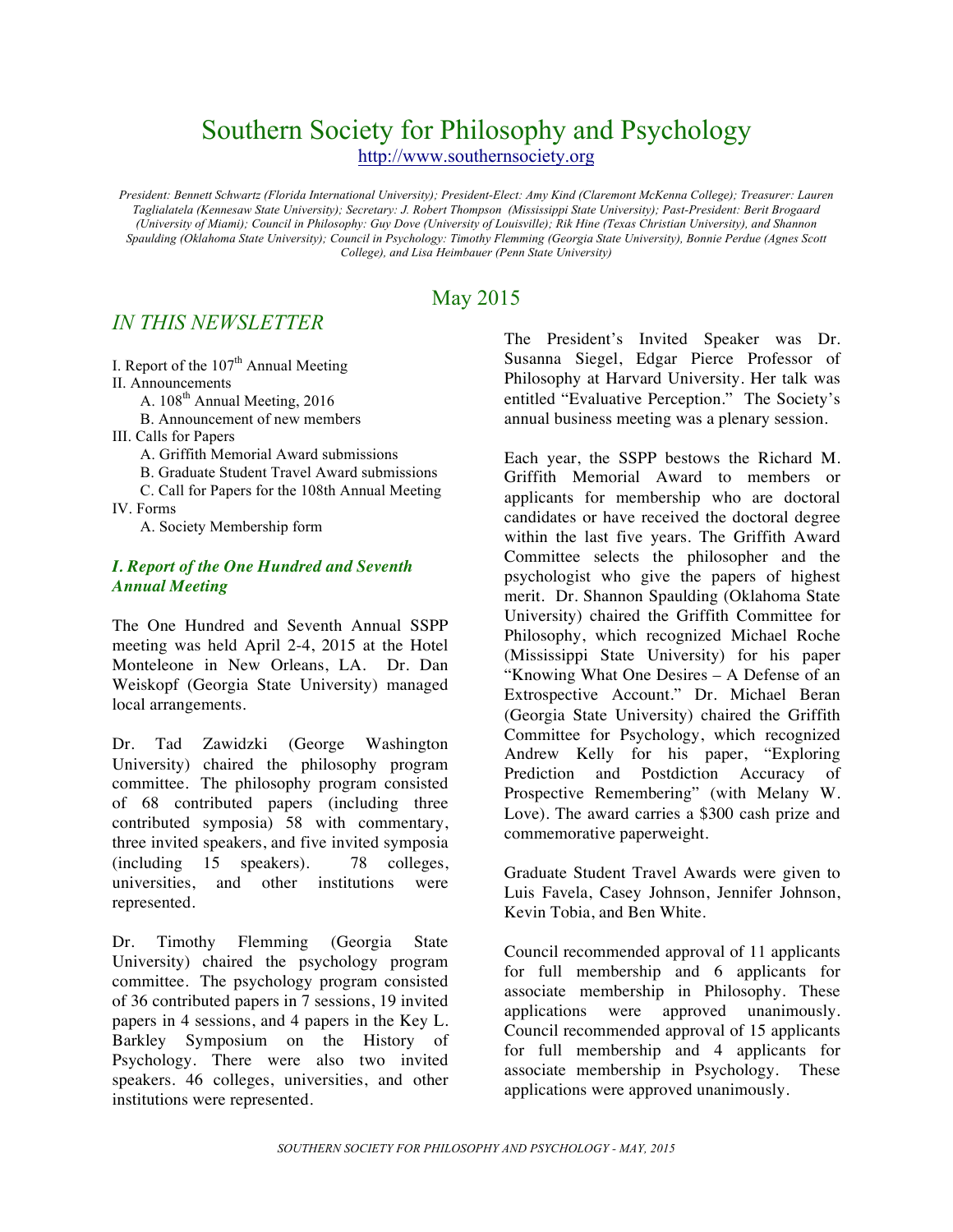# Southern Society for Philosophy and Psychology http://www.southernsociety.org

*President: Bennett Schwartz (Florida International University); President-Elect: Amy Kind (Claremont McKenna College); Treasurer: Lauren Taglialatela (Kennesaw State University); Secretary: J. Robert Thompson (Mississippi State University); Past-President: Berit Brogaard (University of Miami); Council in Philosophy: Guy Dove (University of Louisville); Rik Hine (Texas Christian University), and Shannon Spaulding (Oklahoma State University); Council in Psychology: Timothy Flemming (Georgia State University), Bonnie Perdue (Agnes Scott College), and Lisa Heimbauer (Penn State University)*

## May 2015

## *IN THIS NEWSLETTER*

I. Report of the  $107<sup>th</sup>$  Annual Meeting II. Announcements

A.  $108<sup>th</sup>$  Annual Meeting, 2016

B. Announcement of new members

III. Calls for Papers

A. Griffith Memorial Award submissions

B. Graduate Student Travel Award submissions

C. Call for Papers for the 108th Annual Meeting IV. Forms

A. Society Membership form

## *I. Report of the One Hundred and Seventh Annual Meeting*

The One Hundred and Seventh Annual SSPP meeting was held April 2-4, 2015 at the Hotel Monteleone in New Orleans, LA. Dr. Dan Weiskopf (Georgia State University) managed local arrangements.

Dr. Tad Zawidzki (George Washington University) chaired the philosophy program committee. The philosophy program consisted of 68 contributed papers (including three contributed symposia) 58 with commentary, three invited speakers, and five invited symposia (including 15 speakers). 78 colleges, universities, and other institutions were represented.

Dr. Timothy Flemming (Georgia State University) chaired the psychology program committee. The psychology program consisted of 36 contributed papers in 7 sessions, 19 invited papers in 4 sessions, and 4 papers in the Key L. Barkley Symposium on the History of Psychology. There were also two invited speakers. 46 colleges, universities, and other institutions were represented.

The President's Invited Speaker was Dr. Susanna Siegel, Edgar Pierce Professor of Philosophy at Harvard University. Her talk was entitled "Evaluative Perception." The Society's annual business meeting was a plenary session.

Each year, the SSPP bestows the Richard M. Griffith Memorial Award to members or applicants for membership who are doctoral candidates or have received the doctoral degree within the last five years. The Griffith Award Committee selects the philosopher and the psychologist who give the papers of highest merit. Dr. Shannon Spaulding (Oklahoma State University) chaired the Griffith Committee for Philosophy, which recognized Michael Roche (Mississippi State University) for his paper "Knowing What One Desires – A Defense of an Extrospective Account." Dr. Michael Beran (Georgia State University) chaired the Griffith Committee for Psychology, which recognized Andrew Kelly for his paper, "Exploring Prediction and Postdiction Accuracy of Prospective Remembering" (with Melany W. Love). The award carries a \$300 cash prize and commemorative paperweight.

Graduate Student Travel Awards were given to Luis Favela, Casey Johnson, Jennifer Johnson, Kevin Tobia, and Ben White.

Council recommended approval of 11 applicants for full membership and 6 applicants for associate membership in Philosophy. These applications were approved unanimously. Council recommended approval of 15 applicants for full membership and 4 applicants for associate membership in Psychology. These applications were approved unanimously.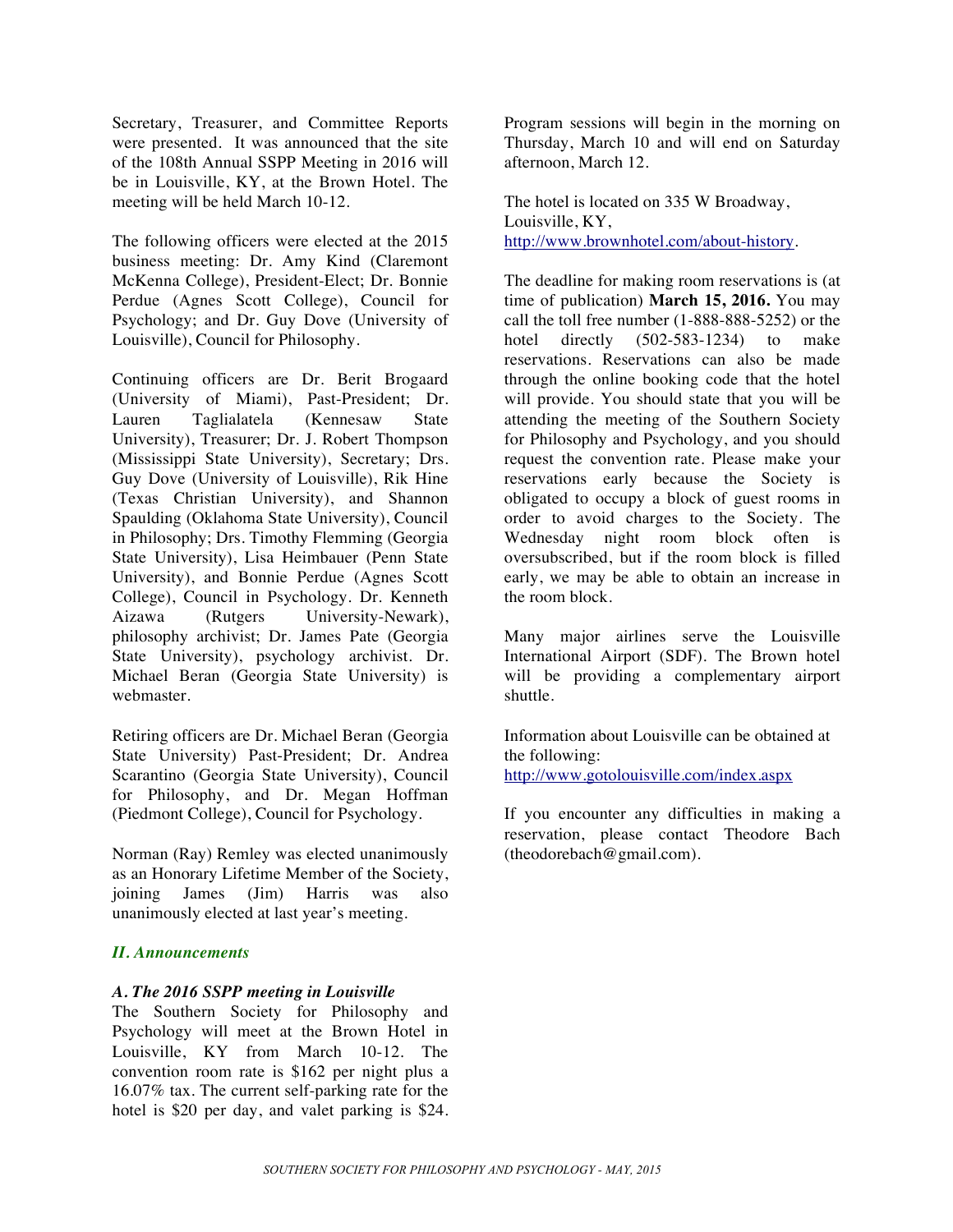Secretary, Treasurer, and Committee Reports were presented. It was announced that the site of the 108th Annual SSPP Meeting in 2016 will be in Louisville, KY, at the Brown Hotel. The meeting will be held March 10-12.

The following officers were elected at the 2015 business meeting: Dr. Amy Kind (Claremont McKenna College), President-Elect; Dr. Bonnie Perdue (Agnes Scott College), Council for Psychology; and Dr. Guy Dove (University of Louisville), Council for Philosophy.

Continuing officers are Dr. Berit Brogaard (University of Miami), Past-President; Dr. Lauren Taglialatela (Kennesaw State University), Treasurer; Dr. J. Robert Thompson (Mississippi State University), Secretary; Drs. Guy Dove (University of Louisville), Rik Hine (Texas Christian University), and Shannon Spaulding (Oklahoma State University), Council in Philosophy; Drs. Timothy Flemming (Georgia State University), Lisa Heimbauer (Penn State University), and Bonnie Perdue (Agnes Scott College), Council in Psychology. Dr. Kenneth Aizawa (Rutgers University-Newark), philosophy archivist; Dr. James Pate (Georgia State University), psychology archivist. Dr. Michael Beran (Georgia State University) is webmaster.

Retiring officers are Dr. Michael Beran (Georgia State University) Past-President; Dr. Andrea Scarantino (Georgia State University), Council for Philosophy, and Dr. Megan Hoffman (Piedmont College), Council for Psychology.

Norman (Ray) Remley was elected unanimously as an Honorary Lifetime Member of the Society, joining James (Jim) Harris was also unanimously elected at last year's meeting.

#### *II. Announcements*

#### *A. The 2016 SSPP meeting in Louisville*

The Southern Society for Philosophy and Psychology will meet at the Brown Hotel in Louisville, KY from March 10-12. The convention room rate is \$162 per night plus a 16.07% tax. The current self-parking rate for the hotel is \$20 per day, and valet parking is \$24.

Program sessions will begin in the morning on Thursday, March 10 and will end on Saturday afternoon, March 12.

The hotel is located on 335 W Broadway, Louisville, KY, http://www.brownhotel.com/about-history.

The deadline for making room reservations is (at time of publication) **March 15, 2016.** You may call the toll free number (1-888-888-5252) or the hotel directly (502-583-1234) to make reservations. Reservations can also be made through the online booking code that the hotel will provide. You should state that you will be attending the meeting of the Southern Society for Philosophy and Psychology, and you should request the convention rate. Please make your reservations early because the Society is obligated to occupy a block of guest rooms in order to avoid charges to the Society. The Wednesday night room block often is oversubscribed, but if the room block is filled early, we may be able to obtain an increase in the room block.

Many major airlines serve the Louisville International Airport (SDF). The Brown hotel will be providing a complementary airport shuttle.

Information about Louisville can be obtained at the following: http://www.gotolouisville.com/index.aspx

If you encounter any difficulties in making a reservation, please contact Theodore Bach (theodorebach@gmail.com).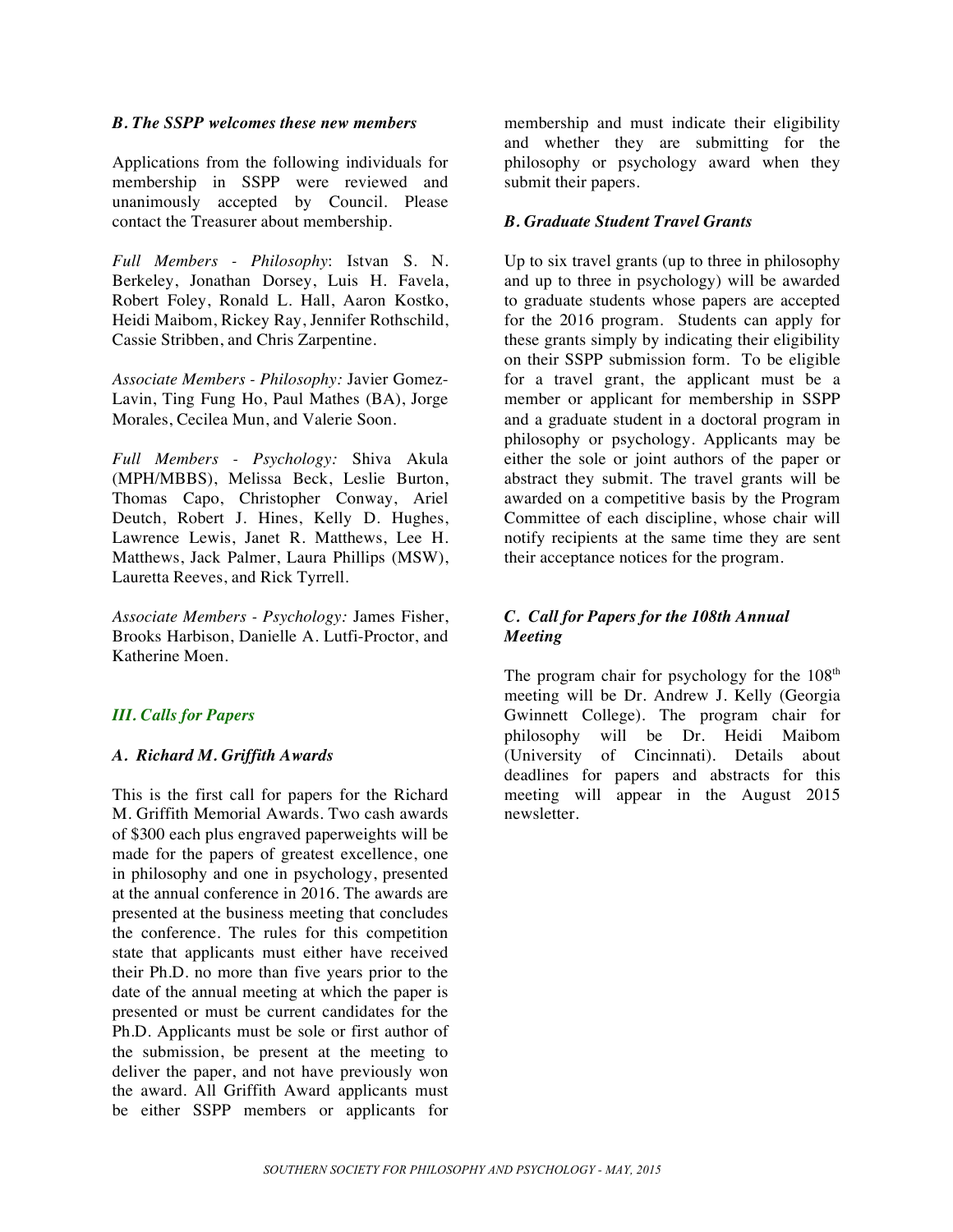#### *B. The SSPP welcomes these new members*

Applications from the following individuals for membership in SSPP were reviewed and unanimously accepted by Council. Please contact the Treasurer about membership.

*Full Members - Philosophy*: Istvan S. N. Berkeley, Jonathan Dorsey, Luis H. Favela, Robert Foley, Ronald L. Hall, Aaron Kostko, Heidi Maibom, Rickey Ray, Jennifer Rothschild, Cassie Stribben, and Chris Zarpentine.

*Associate Members - Philosophy:* Javier Gomez-Lavin, Ting Fung Ho, Paul Mathes (BA), Jorge Morales, Cecilea Mun, and Valerie Soon.

*Full Members - Psychology:* Shiva Akula (MPH/MBBS), Melissa Beck, Leslie Burton, Thomas Capo, Christopher Conway, Ariel Deutch, Robert J. Hines, Kelly D. Hughes, Lawrence Lewis, Janet R. Matthews, Lee H. Matthews, Jack Palmer, Laura Phillips (MSW), Lauretta Reeves, and Rick Tyrrell.

*Associate Members - Psychology:* James Fisher, Brooks Harbison, Danielle A. Lutfi-Proctor, and Katherine Moen.

### *III. Calls for Papers*

#### *A. Richard M. Griffith Awards*

This is the first call for papers for the Richard M. Griffith Memorial Awards. Two cash awards of \$300 each plus engraved paperweights will be made for the papers of greatest excellence, one in philosophy and one in psychology, presented at the annual conference in 2016. The awards are presented at the business meeting that concludes the conference. The rules for this competition state that applicants must either have received their Ph.D. no more than five years prior to the date of the annual meeting at which the paper is presented or must be current candidates for the Ph.D. Applicants must be sole or first author of the submission, be present at the meeting to deliver the paper, and not have previously won the award. All Griffith Award applicants must be either SSPP members or applicants for

membership and must indicate their eligibility and whether they are submitting for the philosophy or psychology award when they submit their papers.

#### *B. Graduate Student Travel Grants*

Up to six travel grants (up to three in philosophy and up to three in psychology) will be awarded to graduate students whose papers are accepted for the 2016 program. Students can apply for these grants simply by indicating their eligibility on their SSPP submission form. To be eligible for a travel grant, the applicant must be a member or applicant for membership in SSPP and a graduate student in a doctoral program in philosophy or psychology. Applicants may be either the sole or joint authors of the paper or abstract they submit. The travel grants will be awarded on a competitive basis by the Program Committee of each discipline, whose chair will notify recipients at the same time they are sent their acceptance notices for the program.

## *C. Call for Papers for the 108th Annual Meeting*

The program chair for psychology for the  $108<sup>th</sup>$ meeting will be Dr. Andrew J. Kelly (Georgia Gwinnett College). The program chair for philosophy will be Dr. Heidi Maibom (University of Cincinnati). Details about deadlines for papers and abstracts for this meeting will appear in the August 2015 newsletter.